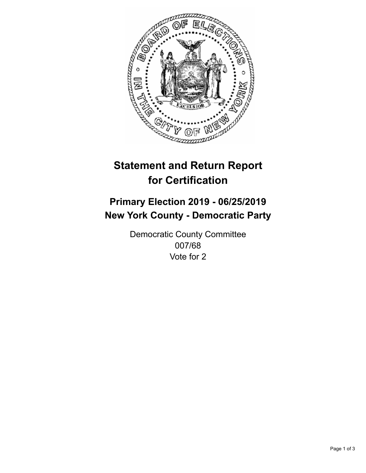

## **Statement and Return Report for Certification**

## **Primary Election 2019 - 06/25/2019 New York County - Democratic Party**

Democratic County Committee 007/68 Vote for 2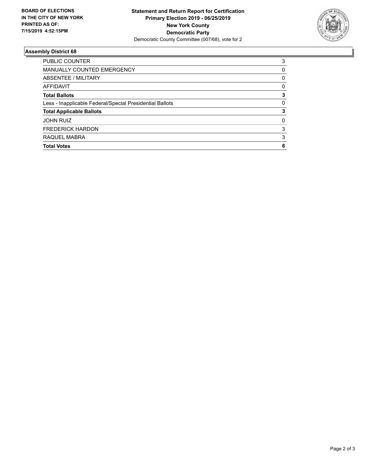

## **Assembly District 68**

| PUBLIC COUNTER                                           | 3        |
|----------------------------------------------------------|----------|
| <b>MANUALLY COUNTED EMERGENCY</b>                        | $\Omega$ |
| ABSENTEE / MILITARY                                      | 0        |
| <b>AFFIDAVIT</b>                                         | 0        |
| <b>Total Ballots</b>                                     | 3        |
| Less - Inapplicable Federal/Special Presidential Ballots | $\Omega$ |
| <b>Total Applicable Ballots</b>                          | 3        |
| <b>JOHN RUIZ</b>                                         | 0        |
| <b>FREDERICK HARDON</b>                                  | 3        |
| RAQUEL MABRA                                             | 3        |
| <b>Total Votes</b>                                       | 6        |